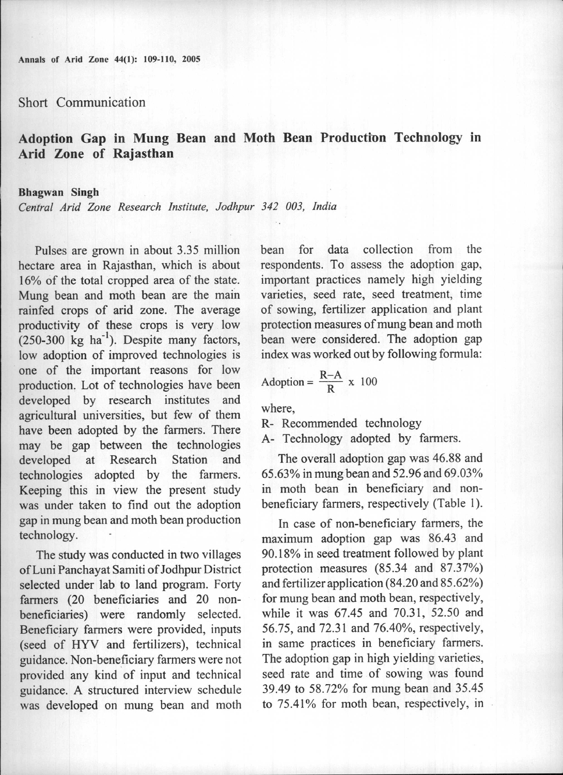Annals of Arid Zone 44(1): 109-110, 2005

Short Communication

## Adoption Gap in Mung Bean and Moth Bean Production Technology in Arid Zone of Rajasthan

## Bhagwan Singh

*Central Arid Zone Research Institute, Jodhpur* 342 *003, India*

Pulses are grown in about 3.35 million hectare area in Rajasthan, which is about 16% of the total cropped area of the state. Mung bean and moth bean are the main rainfed crops of arid zone. The average productivity of these crops is very low productivity of these crops is very low<br> $(250-300 \text{ kg ha}^{-1})$ . Despite many factors low adoption of improved technologies is one of the important reasons for low production. Lot of technologies have been developed by research institutes and agricultural universities, but few of them have been adopted by the farmers. There may be gap between the technologies developed at Research Station and technologies adopted by the farmers. Keeping this in view the present study was under taken to find out the adoption gap in mung bean and moth bean production technology.

The study was conducted in two villages ofLuni Panchayat Samiti of Jodhpur District selected under lab to land program. Forty farmers (20 beneficiaries and 20 nonbeneficiaries) were randomly selected. Beneficiary farmers were provided, inputs (seed of HYV and fertilizers), technical guidance. Non-beneficiary farmers were not provided any kind of input and technical guidance. A structured interview schedule was developed on mung bean and moth

bean for data collection from the respondents. To assess the adoption gap, important practices namely high yielding varieties, seed rate, seed treatment, time of sowing, fertilizer application and plant protection measures of mung bean and moth bean were considered. The adoption gap index was worked out by following formula:

Adoption = 
$$
\frac{R-A}{R}
$$
 x 100

where,

R- Recommended technology

A- Technology adopted by farmers.

The overall adoption gap was 46.88 and 65.63% in mung bean and 52.96 and 69.03% in moth bean in beneficiary and nonbeneficiary farmers, respectively (Table I).

In case of non-beneficiary farmers, the maximum adoption gap was 86.43 and 90.18% in seed treatment followed by plant protection measures (85.34 and 87.37%) and fertilizer application (84.20 and 85.62%) for mung bean and moth bean, respectively, while it was 67.45 and 70.31, 52.50 and 56.75, and 72.31 and 76.40%, respectively, in same practices in beneficiary farmers. The adoption gap in high yielding varieties, seed rate and time of sowing was found 39.49 to 58.72% for mung bean and 35.45 to 75.41% for moth bean, respectively, in